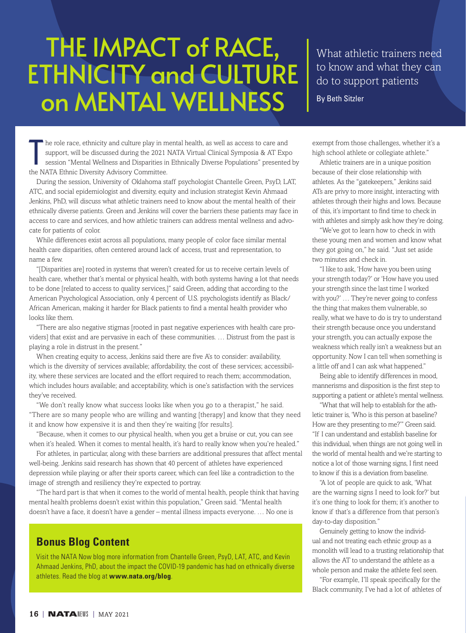## THE IMPACT of RACE, ETHNICITY and CULTURE on MENTAL WELLNESS

What athletic trainers need to know and what they can do to support patients

By Beth Sitzler

The role race, ethnicity and culture play in m<br>support, will be discussed during the 2021 n<br>session "Mental Wellness and Disparities in<br>the NATA Ethnic Diversity Advisory Committee. he role race, ethnicity and culture play in mental health, as well as access to care and support, will be discussed during the 2021 NATA Virtual Clinical Symposia & AT Expo session "Mental Wellness and Disparities in Ethnically Diverse Populations" presented by

During the session, University of Oklahoma staff psychologist Chantelle Green, PsyD, LAT, ATC, and social epidemiologist and diversity, equity and inclusion strategist Kevin Ahmaad Jenkins, PhD, will discuss what athletic trainers need to know about the mental health of their ethnically diverse patients. Green and Jenkins will cover the barriers these patients may face in access to care and services, and how athletic trainers can address mental wellness and advocate for patients of color.

While differences exist across all populations, many people of color face similar mental health care disparities, often centered around lack of access, trust and representation, to name a few.

"[Disparities are] rooted in systems that weren't created for us to receive certain levels of health care, whether that's mental or physical health, with both systems having a lot that needs to be done [related to access to quality services,]" said Green, adding that according to the American Psychological Association, only 4 percent of U.S. psychologists identify as Black/ African American, making it harder for Black patients to find a mental health provider who looks like them.

"There are also negative stigmas [rooted in past negative experiences with health care providers] that exist and are pervasive in each of these communities. … Distrust from the past is playing a role in distrust in the present."

When creating equity to access, Jenkins said there are five A's to consider: availability, which is the diversity of services available; affordability, the cost of these services; accessibility, where these services are located and the effort required to reach them; accommodation, which includes hours available; and acceptability, which is one's satisfaction with the services they've received.

"We don't really know what success looks like when you go to a therapist," he said. "There are so many people who are willing and wanting [therapy] and know that they need it and know how expensive it is and then they're waiting [for results].

"Because, when it comes to our physical health, when you get a bruise or cut, you can see when it's healed. When it comes to mental health, it's hard to really know when you're healed."

For athletes, in particular, along with these barriers are additional pressures that affect mental well-being. Jenkins said research has shown that 40 percent of athletes have experienced depression while playing or after their sports career, which can feel like a contradiction to the image of strength and resiliency they're expected to portray.

"The hard part is that when it comes to the world of mental health, people think that having mental health problems doesn't exist within this population," Green said. "Mental health doesn't have a face, it doesn't have a gender – mental illness impacts everyone. … No one is

## **Bonus Blog Content**

Visit the NATA Now blog more information from Chantelle Green, PsyD, LAT, ATC, and Kevin Ahmaad Jenkins, PhD, about the impact the COVID-19 pandemic has had on ethnically diverse athletes. Read the blog at **www.nata.org/blog**.

exempt from those challenges, whether it's a high school athlete or collegiate athlete."

Athletic trainers are in a unique position because of their close relationship with athletes. As the "gatekeepers," Jenkins said ATs are privy to more insight, interacting with athletes through their highs and lows. Because of this, it's important to find time to check in with athletes and simply ask how they're doing.

"We've got to learn how to check in with these young men and women and know what they got going on," he said. "Just set aside two minutes and check in.

"I like to ask, 'How have you been using your strength today?' or 'How have you used your strength since the last time I worked with you?' … They're never going to confess the thing that makes them vulnerable, so really, what we have to do is try to understand their strength because once you understand your strength, you can actually expose the weakness which really isn't a weakness but an opportunity. Now I can tell when something is a little off and I can ask what happened."

Being able to identify differences in mood, mannerisms and disposition is the first step to supporting a patient or athlete's mental wellness.

"What that will help to establish for the athletic trainer is, 'Who is this person at baseline? How are they presenting to me?'" Green said. "If I can understand and establish baseline for this individual, when things are not going well in the world of mental health and we're starting to notice a lot of those warning signs, I first need to know if this is a deviation from baseline.

"A lot of people are quick to ask, 'What are the warning signs I need to look for?' but it's one thing to look for them; it's another to know if that's a difference from that person's day-to-day disposition."

Genuinely getting to know the individual and not treating each ethnic group as a monolith will lead to a trusting relationship that allows the AT to understand the athlete as a whole person and make the athlete feel seen.

"For example, I'll speak specifically for the Black community, I've had a lot of athletes of